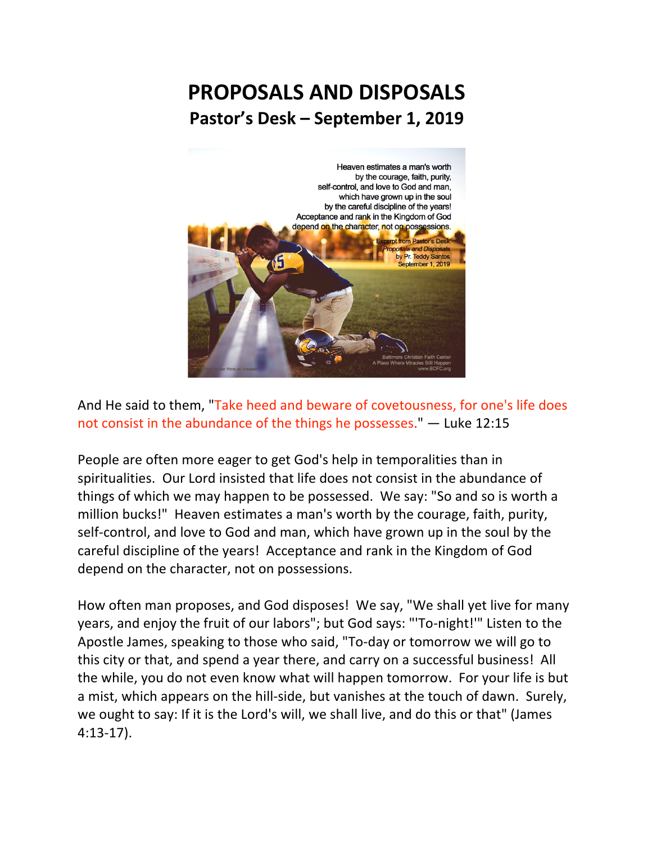## **PROPOSALS AND DISPOSALS Pastor's Desk – September 1, 2019**



And He said to them, "Take heed and beware of covetousness, for one's life does not consist in the abundance of the things he possesses." — Luke 12:15

People are often more eager to get God's help in temporalities than in spiritualities. Our Lord insisted that life does not consist in the abundance of things of which we may happen to be possessed. We say: "So and so is worth a million bucks!" Heaven estimates a man's worth by the courage, faith, purity, self-control, and love to God and man, which have grown up in the soul by the careful discipline of the years! Acceptance and rank in the Kingdom of God depend on the character, not on possessions.

How often man proposes, and God disposes! We say, "We shall yet live for many years, and enjoy the fruit of our labors"; but God says: "'To-night!'" Listen to the Apostle James, speaking to those who said, "To-day or tomorrow we will go to this city or that, and spend a year there, and carry on a successful business! All the while, you do not even know what will happen tomorrow. For your life is but a mist, which appears on the hill-side, but vanishes at the touch of dawn. Surely, we ought to say: If it is the Lord's will, we shall live, and do this or that" (James 4:13-17).